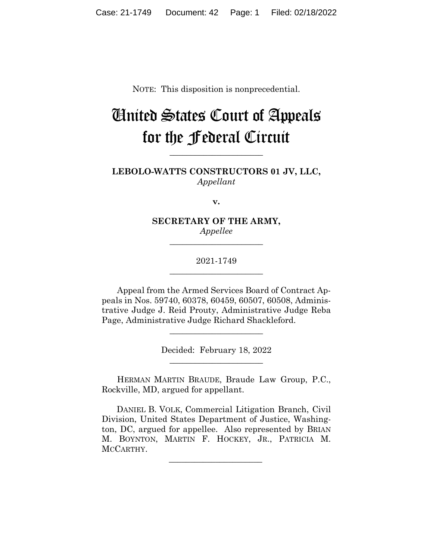NOTE: This disposition is nonprecedential.

# United States Court of Appeals for the Federal Circuit

**LEBOLO-WATTS CONSTRUCTORS 01 JV, LLC,** *Appellant*

**\_\_\_\_\_\_\_\_\_\_\_\_\_\_\_\_\_\_\_\_\_\_** 

**v.**

**SECRETARY OF THE ARMY,** *Appellee*

**\_\_\_\_\_\_\_\_\_\_\_\_\_\_\_\_\_\_\_\_\_\_** 

2021-1749 **\_\_\_\_\_\_\_\_\_\_\_\_\_\_\_\_\_\_\_\_\_\_** 

Appeal from the Armed Services Board of Contract Appeals in Nos. 59740, 60378, 60459, 60507, 60508, Administrative Judge J. Reid Prouty, Administrative Judge Reba Page, Administrative Judge Richard Shackleford.

> Decided: February 18, 2022  $\overline{\phantom{a}}$  , we can assume that the contract of  $\overline{\phantom{a}}$

 $\overline{\phantom{a}}$  , where  $\overline{\phantom{a}}$  , where  $\overline{\phantom{a}}$  , where  $\overline{\phantom{a}}$ 

HERMAN MARTIN BRAUDE, Braude Law Group, P.C., Rockville, MD, argued for appellant.

 DANIEL B. VOLK, Commercial Litigation Branch, Civil Division, United States Department of Justice, Washington, DC, argued for appellee. Also represented by BRIAN M. BOYNTON, MARTIN F. HOCKEY, JR., PATRICIA M. MCCARTHY.

 $\mathcal{L}_\text{max}$  and  $\mathcal{L}_\text{max}$  and  $\mathcal{L}_\text{max}$  and  $\mathcal{L}_\text{max}$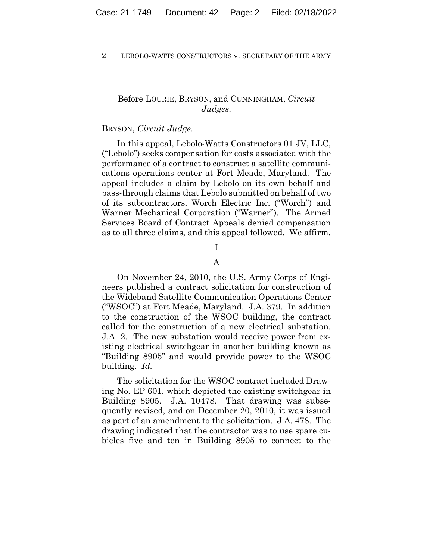## Before LOURIE, BRYSON, and CUNNINGHAM, *Circuit Judges*.

## BRYSON, *Circuit Judge*.

In this appeal, Lebolo-Watts Constructors 01 JV, LLC, ("Lebolo") seeks compensation for costs associated with the performance of a contract to construct a satellite communications operations center at Fort Meade, Maryland. The appeal includes a claim by Lebolo on its own behalf and pass-through claims that Lebolo submitted on behalf of two of its subcontractors, Worch Electric Inc. ("Worch") and Warner Mechanical Corporation ("Warner"). The Armed Services Board of Contract Appeals denied compensation as to all three claims, and this appeal followed. We affirm.

# I

## A

On November 24, 2010, the U.S. Army Corps of Engineers published a contract solicitation for construction of the Wideband Satellite Communication Operations Center ("WSOC") at Fort Meade, Maryland. J.A. 379. In addition to the construction of the WSOC building, the contract called for the construction of a new electrical substation. J.A. 2. The new substation would receive power from existing electrical switchgear in another building known as "Building 8905" and would provide power to the WSOC building. *Id.*

The solicitation for the WSOC contract included Drawing No. EP 601, which depicted the existing switchgear in Building 8905. J.A. 10478. That drawing was subsequently revised, and on December 20, 2010, it was issued as part of an amendment to the solicitation. J.A. 478. The drawing indicated that the contractor was to use spare cubicles five and ten in Building 8905 to connect to the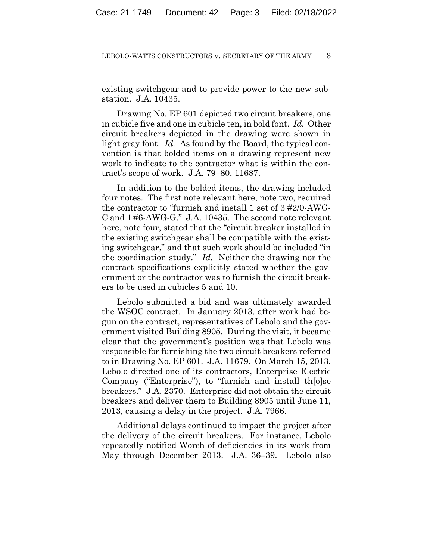existing switchgear and to provide power to the new substation. J.A. 10435.

Drawing No. EP 601 depicted two circuit breakers, one in cubicle five and one in cubicle ten, in bold font. *Id.* Other circuit breakers depicted in the drawing were shown in light gray font. *Id.* As found by the Board, the typical convention is that bolded items on a drawing represent new work to indicate to the contractor what is within the contract's scope of work. J.A. 79–80, 11687.

In addition to the bolded items, the drawing included four notes. The first note relevant here, note two, required the contractor to "furnish and install 1 set of 3 #2/0-AWG-C and 1 #6-AWG-G." J.A. 10435. The second note relevant here, note four, stated that the "circuit breaker installed in the existing switchgear shall be compatible with the existing switchgear," and that such work should be included "in the coordination study." *Id.* Neither the drawing nor the contract specifications explicitly stated whether the government or the contractor was to furnish the circuit breakers to be used in cubicles 5 and 10.

Lebolo submitted a bid and was ultimately awarded the WSOC contract. In January 2013, after work had begun on the contract, representatives of Lebolo and the government visited Building 8905. During the visit, it became clear that the government's position was that Lebolo was responsible for furnishing the two circuit breakers referred to in Drawing No. EP 601. J.A. 11679. On March 15, 2013, Lebolo directed one of its contractors, Enterprise Electric Company ("Enterprise"), to "furnish and install th[o]se breakers." J.A. 2370. Enterprise did not obtain the circuit breakers and deliver them to Building 8905 until June 11, 2013, causing a delay in the project. J.A. 7966.

Additional delays continued to impact the project after the delivery of the circuit breakers. For instance, Lebolo repeatedly notified Worch of deficiencies in its work from May through December 2013. J.A. 36–39. Lebolo also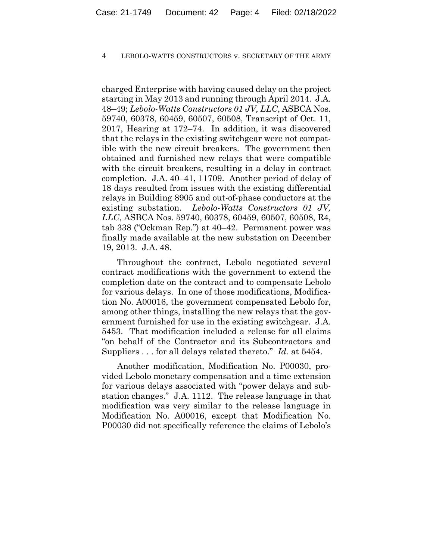charged Enterprise with having caused delay on the project starting in May 2013 and running through April 2014. J.A. 48–49; *Lebolo-Watts Constructors 01 JV, LLC*, ASBCA Nos. 59740, 60378, 60459, 60507, 60508, Transcript of Oct. 11, 2017, Hearing at 172–74. In addition, it was discovered that the relays in the existing switchgear were not compatible with the new circuit breakers. The government then obtained and furnished new relays that were compatible with the circuit breakers, resulting in a delay in contract completion. J.A. 40–41, 11709. Another period of delay of 18 days resulted from issues with the existing differential relays in Building 8905 and out-of-phase conductors at the existing substation. *Lebolo-Watts Constructors 01 JV, LLC*, ASBCA Nos. 59740, 60378, 60459, 60507, 60508, R4, tab 338 ("Ockman Rep.") at 40–42. Permanent power was finally made available at the new substation on December 19, 2013. J.A. 48.

Throughout the contract, Lebolo negotiated several contract modifications with the government to extend the completion date on the contract and to compensate Lebolo for various delays. In one of those modifications, Modification No. A00016, the government compensated Lebolo for, among other things, installing the new relays that the government furnished for use in the existing switchgear. J.A. 5453. That modification included a release for all claims "on behalf of the Contractor and its Subcontractors and Suppliers . . . for all delays related thereto." *Id.* at 5454.

 Another modification, Modification No. P00030, provided Lebolo monetary compensation and a time extension for various delays associated with "power delays and substation changes." J.A. 1112. The release language in that modification was very similar to the release language in Modification No. A00016, except that Modification No. P00030 did not specifically reference the claims of Lebolo's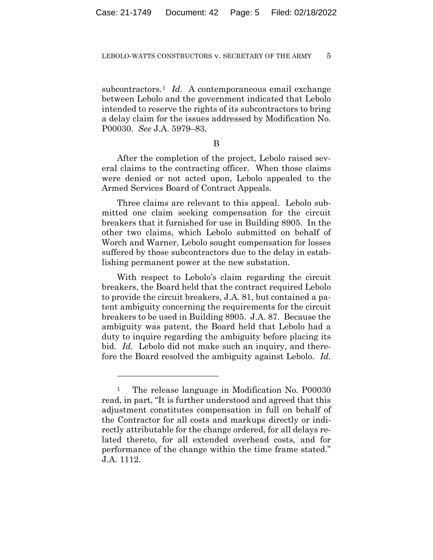subcontractors.<sup>1</sup> *Id.* A contemporaneous email exchange between Lebolo and the government indicated that Lebolo intended to reserve the rights of its subcontractors to bring a delay claim for the issues addressed by Modification No. P00030. *See* J.A. 5979–83.

B

After the completion of the project, Lebolo raised several claims to the contracting officer. When those claims were denied or not acted upon, Lebolo appealed to the Armed Services Board of Contract Appeals.

Three claims are relevant to this appeal. Lebolo submitted one claim seeking compensation for the circuit breakers that it furnished for use in Building 8905. In the other two claims, which Lebolo submitted on behalf of Worch and Warner, Lebolo sought compensation for losses suffered by those subcontractors due to the delay in establishing permanent power at the new substation.

With respect to Lebolo's claim regarding the circuit breakers, the Board held that the contract required Lebolo to provide the circuit breakers, J.A. 81, but contained a patent ambiguity concerning the requirements for the circuit breakers to be used in Building 8905. J.A. 87. Because the ambiguity was patent, the Board held that Lebolo had a duty to inquire regarding the ambiguity before placing its bid. *Id.* Lebolo did not make such an inquiry, and therefore the Board resolved the ambiguity against Lebolo. *Id.*

<sup>&</sup>lt;sup>1</sup> The release language in Modification No. P00030 read, in part, "It is further understood and agreed that this adjustment constitutes compensation in full on behalf of the Contractor for all costs and markups directly or indirectly attributable for the change ordered, for all delays related thereto, for all extended overhead costs, and for performance of the change within the time frame stated." J.A. 1112.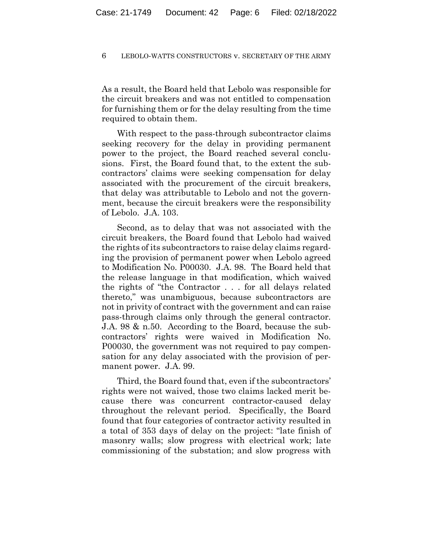As a result, the Board held that Lebolo was responsible for the circuit breakers and was not entitled to compensation for furnishing them or for the delay resulting from the time required to obtain them.

With respect to the pass-through subcontractor claims seeking recovery for the delay in providing permanent power to the project, the Board reached several conclusions. First, the Board found that, to the extent the subcontractors' claims were seeking compensation for delay associated with the procurement of the circuit breakers, that delay was attributable to Lebolo and not the government, because the circuit breakers were the responsibility of Lebolo. J.A. 103.

Second, as to delay that was not associated with the circuit breakers, the Board found that Lebolo had waived the rights of its subcontractors to raise delay claims regarding the provision of permanent power when Lebolo agreed to Modification No. P00030. J.A. 98. The Board held that the release language in that modification, which waived the rights of "the Contractor . . . for all delays related thereto," was unambiguous, because subcontractors are not in privity of contract with the government and can raise pass-through claims only through the general contractor. J.A. 98 & n.50. According to the Board, because the subcontractors' rights were waived in Modification No. P00030, the government was not required to pay compensation for any delay associated with the provision of permanent power. J.A. 99.

Third, the Board found that, even if the subcontractors' rights were not waived, those two claims lacked merit because there was concurrent contractor-caused delay throughout the relevant period. Specifically, the Board found that four categories of contractor activity resulted in a total of 353 days of delay on the project: "late finish of masonry walls; slow progress with electrical work; late commissioning of the substation; and slow progress with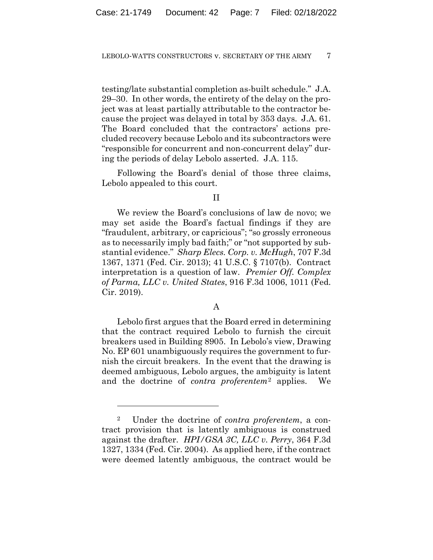testing/late substantial completion as-built schedule." J.A. 29–30. In other words, the entirety of the delay on the project was at least partially attributable to the contractor because the project was delayed in total by 353 days. J.A. 61. The Board concluded that the contractors' actions precluded recovery because Lebolo and its subcontractors were "responsible for concurrent and non-concurrent delay" during the periods of delay Lebolo asserted. J.A. 115.

Following the Board's denial of those three claims, Lebolo appealed to this court.

## II

We review the Board's conclusions of law de novo; we may set aside the Board's factual findings if they are "fraudulent, arbitrary, or capricious"; "so grossly erroneous as to necessarily imply bad faith;" or "not supported by substantial evidence." *Sharp Elecs. Corp. v. McHugh*, 707 F.3d 1367, 1371 (Fed. Cir. 2013); 41 U.S.C. § 7107(b). Contract interpretation is a question of law. *Premier Off. Complex of Parma, LLC v. United States*, 916 F.3d 1006, 1011 (Fed. Cir. 2019).

## A

Lebolo first argues that the Board erred in determining that the contract required Lebolo to furnish the circuit breakers used in Building 8905. In Lebolo's view, Drawing No. EP 601 unambiguously requires the government to furnish the circuit breakers. In the event that the drawing is deemed ambiguous, Lebolo argues, the ambiguity is latent and the doctrine of *contra proferentem*<sup>2</sup> applies. We

<sup>2</sup> Under the doctrine of *contra proferentem*, a contract provision that is latently ambiguous is construed against the drafter. *HPI/GSA 3C, LLC v. Perry*, 364 F.3d 1327, 1334 (Fed. Cir. 2004). As applied here, if the contract were deemed latently ambiguous, the contract would be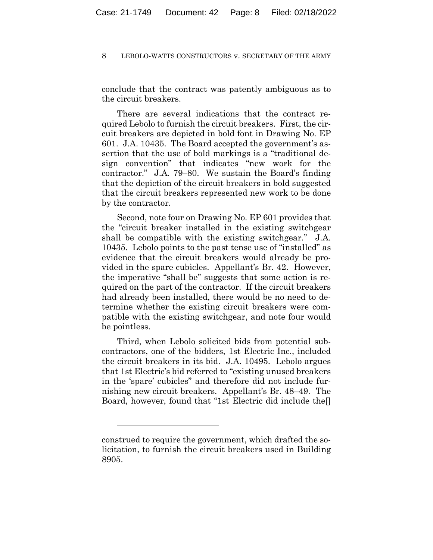conclude that the contract was patently ambiguous as to the circuit breakers.

There are several indications that the contract required Lebolo to furnish the circuit breakers. First, the circuit breakers are depicted in bold font in Drawing No. EP 601. J.A. 10435. The Board accepted the government's assertion that the use of bold markings is a "traditional design convention" that indicates "new work for the contractor." J.A. 79–80. We sustain the Board's finding that the depiction of the circuit breakers in bold suggested that the circuit breakers represented new work to be done by the contractor.

Second, note four on Drawing No. EP 601 provides that the "circuit breaker installed in the existing switchgear shall be compatible with the existing switchgear." J.A. 10435. Lebolo points to the past tense use of "installed" as evidence that the circuit breakers would already be provided in the spare cubicles. Appellant's Br. 42. However, the imperative "shall be" suggests that some action is required on the part of the contractor. If the circuit breakers had already been installed, there would be no need to determine whether the existing circuit breakers were compatible with the existing switchgear, and note four would be pointless.

Third, when Lebolo solicited bids from potential subcontractors, one of the bidders, 1st Electric Inc., included the circuit breakers in its bid. J.A. 10495. Lebolo argues that 1st Electric's bid referred to "existing unused breakers in the 'spare' cubicles" and therefore did not include furnishing new circuit breakers. Appellant's Br. 48–49. The Board, however, found that "1st Electric did include the[]

construed to require the government, which drafted the solicitation, to furnish the circuit breakers used in Building 8905.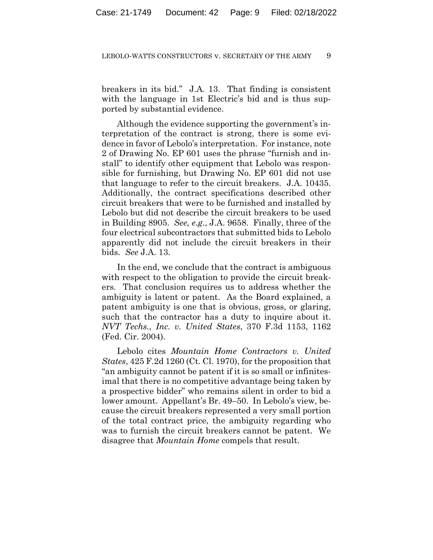breakers in its bid." J.A. 13. That finding is consistent with the language in 1st Electric's bid and is thus supported by substantial evidence.

Although the evidence supporting the government's interpretation of the contract is strong, there is some evidence in favor of Lebolo's interpretation. For instance, note 2 of Drawing No. EP 601 uses the phrase "furnish and install" to identify other equipment that Lebolo was responsible for furnishing, but Drawing No. EP 601 did not use that language to refer to the circuit breakers. J.A. 10435. Additionally, the contract specifications described other circuit breakers that were to be furnished and installed by Lebolo but did not describe the circuit breakers to be used in Building 8905. *See, e.g.*, J.A. 9658. Finally, three of the four electrical subcontractors that submitted bids to Lebolo apparently did not include the circuit breakers in their bids. *See* J.A. 13.

In the end, we conclude that the contract is ambiguous with respect to the obligation to provide the circuit breakers. That conclusion requires us to address whether the ambiguity is latent or patent. As the Board explained, a patent ambiguity is one that is obvious, gross, or glaring, such that the contractor has a duty to inquire about it. *NVT Techs., Inc. v. United States*, 370 F.3d 1153, 1162 (Fed. Cir. 2004).

Lebolo cites *Mountain Home Contractors v. United States*, 425 F.2d 1260 (Ct. Cl. 1970), for the proposition that "an ambiguity cannot be patent if it is so small or infinitesimal that there is no competitive advantage being taken by a prospective bidder" who remains silent in order to bid a lower amount. Appellant's Br. 49–50. In Lebolo's view, because the circuit breakers represented a very small portion of the total contract price, the ambiguity regarding who was to furnish the circuit breakers cannot be patent. We disagree that *Mountain Home* compels that result.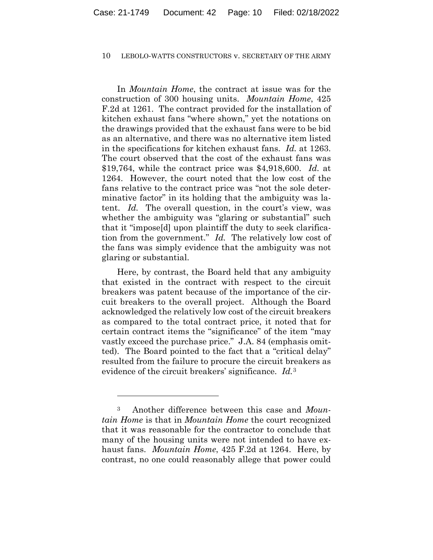In *Mountain Home*, the contract at issue was for the construction of 300 housing units. *Mountain Home*, 425 F.2d at 1261. The contract provided for the installation of kitchen exhaust fans "where shown," yet the notations on the drawings provided that the exhaust fans were to be bid as an alternative, and there was no alternative item listed in the specifications for kitchen exhaust fans. *Id.* at 1263. The court observed that the cost of the exhaust fans was \$19,764, while the contract price was \$4,918,600. *Id.* at 1264. However, the court noted that the low cost of the fans relative to the contract price was "not the sole determinative factor" in its holding that the ambiguity was latent. *Id.* The overall question, in the court's view, was whether the ambiguity was "glaring or substantial" such that it "impose[d] upon plaintiff the duty to seek clarification from the government." *Id.* The relatively low cost of the fans was simply evidence that the ambiguity was not glaring or substantial.

Here, by contrast, the Board held that any ambiguity that existed in the contract with respect to the circuit breakers was patent because of the importance of the circuit breakers to the overall project. Although the Board acknowledged the relatively low cost of the circuit breakers as compared to the total contract price, it noted that for certain contract items the "significance" of the item "may vastly exceed the purchase price." J.A. 84 (emphasis omitted). The Board pointed to the fact that a "critical delay" resulted from the failure to procure the circuit breakers as evidence of the circuit breakers' significance. *Id.*<sup>3</sup>

<sup>3</sup> Another difference between this case and *Mountain Home* is that in *Mountain Home* the court recognized that it was reasonable for the contractor to conclude that many of the housing units were not intended to have exhaust fans. *Mountain Home*, 425 F.2d at 1264. Here, by contrast, no one could reasonably allege that power could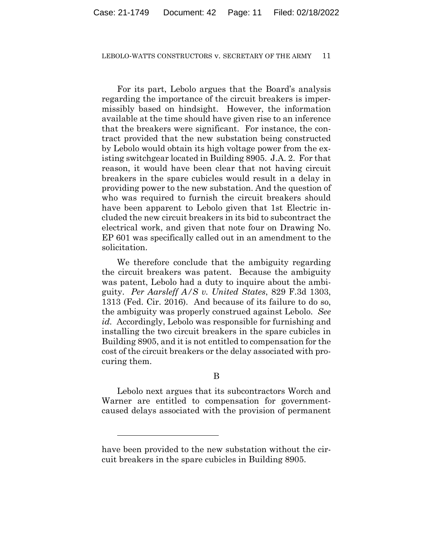For its part, Lebolo argues that the Board's analysis regarding the importance of the circuit breakers is impermissibly based on hindsight. However, the information available at the time should have given rise to an inference that the breakers were significant. For instance, the contract provided that the new substation being constructed by Lebolo would obtain its high voltage power from the existing switchgear located in Building 8905. J.A. 2. For that reason, it would have been clear that not having circuit breakers in the spare cubicles would result in a delay in providing power to the new substation. And the question of who was required to furnish the circuit breakers should have been apparent to Lebolo given that 1st Electric included the new circuit breakers in its bid to subcontract the electrical work, and given that note four on Drawing No. EP 601 was specifically called out in an amendment to the solicitation.

We therefore conclude that the ambiguity regarding the circuit breakers was patent. Because the ambiguity was patent, Lebolo had a duty to inquire about the ambiguity. *Per Aarsleff A/S v. United States*, 829 F.3d 1303, 1313 (Fed. Cir. 2016). And because of its failure to do so, the ambiguity was properly construed against Lebolo. *See id.* Accordingly, Lebolo was responsible for furnishing and installing the two circuit breakers in the spare cubicles in Building 8905, and it is not entitled to compensation for the cost of the circuit breakers or the delay associated with procuring them.

B

Lebolo next argues that its subcontractors Worch and Warner are entitled to compensation for governmentcaused delays associated with the provision of permanent

have been provided to the new substation without the circuit breakers in the spare cubicles in Building 8905.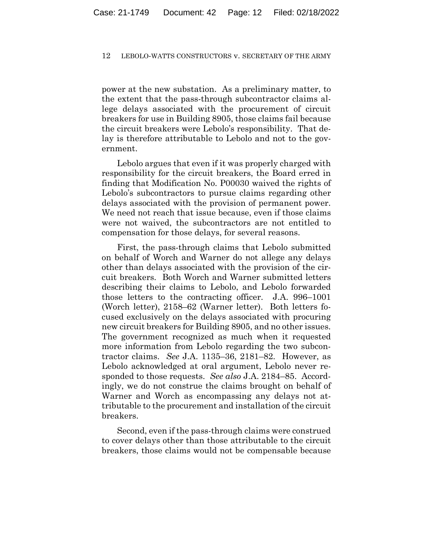power at the new substation. As a preliminary matter, to the extent that the pass-through subcontractor claims allege delays associated with the procurement of circuit breakers for use in Building 8905, those claims fail because the circuit breakers were Lebolo's responsibility. That delay is therefore attributable to Lebolo and not to the government.

Lebolo argues that even if it was properly charged with responsibility for the circuit breakers, the Board erred in finding that Modification No. P00030 waived the rights of Lebolo's subcontractors to pursue claims regarding other delays associated with the provision of permanent power. We need not reach that issue because, even if those claims were not waived, the subcontractors are not entitled to compensation for those delays, for several reasons.

First, the pass-through claims that Lebolo submitted on behalf of Worch and Warner do not allege any delays other than delays associated with the provision of the circuit breakers. Both Worch and Warner submitted letters describing their claims to Lebolo, and Lebolo forwarded those letters to the contracting officer. J.A. 996–1001 (Worch letter), 2158–62 (Warner letter). Both letters focused exclusively on the delays associated with procuring new circuit breakers for Building 8905, and no other issues. The government recognized as much when it requested more information from Lebolo regarding the two subcontractor claims. *See* J.A. 1135–36, 2181–82. However, as Lebolo acknowledged at oral argument, Lebolo never responded to those requests. *See also* J.A. 2184–85. Accordingly, we do not construe the claims brought on behalf of Warner and Worch as encompassing any delays not attributable to the procurement and installation of the circuit breakers.

Second, even if the pass-through claims were construed to cover delays other than those attributable to the circuit breakers, those claims would not be compensable because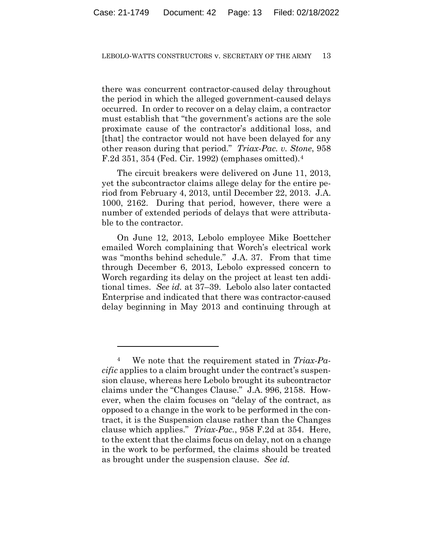there was concurrent contractor-caused delay throughout the period in which the alleged government-caused delays occurred. In order to recover on a delay claim, a contractor must establish that "the government's actions are the sole proximate cause of the contractor's additional loss, and [that] the contractor would not have been delayed for any other reason during that period." *Triax-Pac. v. Stone*, 958 F.2d 351, 354 (Fed. Cir. 1992) (emphases omitted).4

The circuit breakers were delivered on June 11, 2013, yet the subcontractor claims allege delay for the entire period from February 4, 2013, until December 22, 2013. J.A. 1000, 2162. During that period, however, there were a number of extended periods of delays that were attributable to the contractor.

On June 12, 2013, Lebolo employee Mike Boettcher emailed Worch complaining that Worch's electrical work was "months behind schedule." J.A. 37. From that time through December 6, 2013, Lebolo expressed concern to Worch regarding its delay on the project at least ten additional times. *See id.* at 37–39. Lebolo also later contacted Enterprise and indicated that there was contractor-caused delay beginning in May 2013 and continuing through at

<sup>4</sup> We note that the requirement stated in *Triax-Pacific* applies to a claim brought under the contract's suspension clause, whereas here Lebolo brought its subcontractor claims under the "Changes Clause." J.A. 996, 2158. However, when the claim focuses on "delay of the contract, as opposed to a change in the work to be performed in the contract, it is the Suspension clause rather than the Changes clause which applies." *Triax-Pac.*, 958 F.2d at 354. Here, to the extent that the claims focus on delay, not on a change in the work to be performed, the claims should be treated as brought under the suspension clause. *See id.*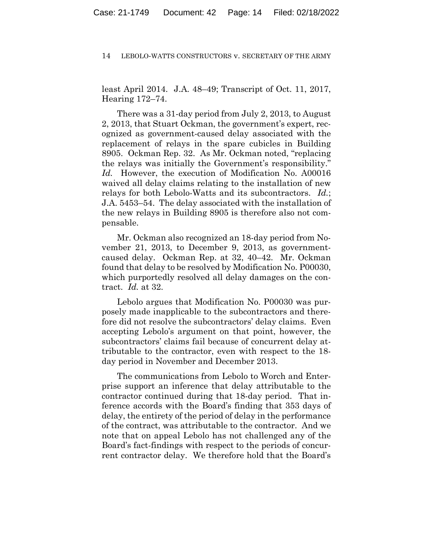least April 2014. J.A. 48–49; Transcript of Oct. 11, 2017, Hearing 172–74.

There was a 31-day period from July 2, 2013, to August 2, 2013, that Stuart Ockman, the government's expert, recognized as government-caused delay associated with the replacement of relays in the spare cubicles in Building 8905. Ockman Rep. 32. As Mr. Ockman noted, "replacing the relays was initially the Government's responsibility." *Id.* However, the execution of Modification No. A00016 waived all delay claims relating to the installation of new relays for both Lebolo-Watts and its subcontractors. *Id.*; J.A. 5453–54. The delay associated with the installation of the new relays in Building 8905 is therefore also not compensable.

Mr. Ockman also recognized an 18-day period from November 21, 2013, to December 9, 2013, as governmentcaused delay. Ockman Rep. at 32, 40–42. Mr. Ockman found that delay to be resolved by Modification No. P00030, which purportedly resolved all delay damages on the contract. *Id.* at 32.

Lebolo argues that Modification No. P00030 was purposely made inapplicable to the subcontractors and therefore did not resolve the subcontractors' delay claims. Even accepting Lebolo's argument on that point, however, the subcontractors' claims fail because of concurrent delay attributable to the contractor, even with respect to the 18 day period in November and December 2013.

The communications from Lebolo to Worch and Enterprise support an inference that delay attributable to the contractor continued during that 18-day period. That inference accords with the Board's finding that 353 days of delay, the entirety of the period of delay in the performance of the contract, was attributable to the contractor. And we note that on appeal Lebolo has not challenged any of the Board's fact-findings with respect to the periods of concurrent contractor delay. We therefore hold that the Board's